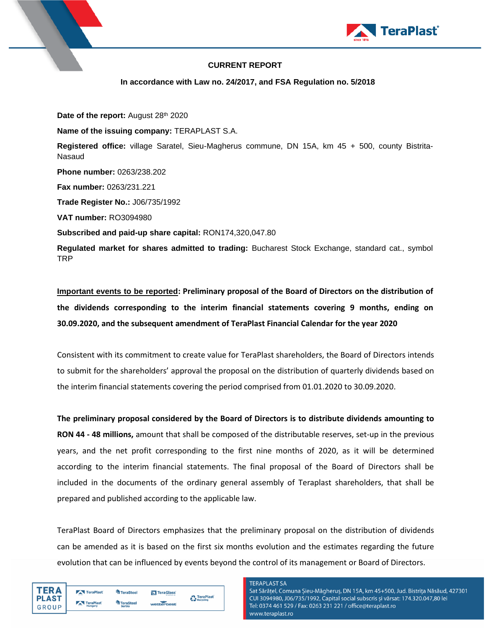

## **CURRENT REPORT**

**In accordance with Law no. 24/2017, and FSA Regulation no. 5/2018**

Date of the report: August 28<sup>th</sup> 2020

**Name of the issuing company:** TERAPLAST S.A.

**Registered office:** village Saratel, Sieu-Magherus commune, DN 15A, km 45 + 500, county Bistrita-Nasaud

**Phone number:** 0263/238.202

**Fax number:** 0263/231.221

**Trade Register No.:** J06/735/1992

**VAT number:** RO3094980

**Subscribed and paid-up share capital:** RON174,320,047.80

**Regulated market for shares admitted to trading:** Bucharest Stock Exchange, standard cat., symbol TRP

**Important events to be reported: Preliminary proposal of the Board of Directors on the distribution of the dividends corresponding to the interim financial statements covering 9 months, ending on 30.09.2020, and the subsequent amendment of TeraPlast Financial Calendar for the year 2020**

Consistent with its commitment to create value for TeraPlast shareholders, the Board of Directors intends to submit for the shareholders' approval the proposal on the distribution of quarterly dividends based on the interim financial statements covering the period comprised from 01.01.2020 to 30.09.2020.

**The preliminary proposal considered by the Board of Directors is to distribute dividends amounting to RON 44 - 48 millions,** amount that shall be composed of the distributable reserves, set-up in the previous years, and the net profit corresponding to the first nine months of 2020, as it will be determined according to the interim financial statements. The final proposal of the Board of Directors shall be included in the documents of the ordinary general assembly of Teraplast shareholders, that shall be prepared and published according to the applicable law.

TeraPlast Board of Directors emphasizes that the preliminary proposal on the distribution of dividends can be amended as it is based on the first six months evolution and the estimates regarding the future evolution that can be influenced by events beyond the control of its management or Board of Directors.

| ΈR Δ                  | TeraPlast            | <sup>4</sup> TeraSteel            | <b>N</b> TeraGlass | TeraPlast |
|-----------------------|----------------------|-----------------------------------|--------------------|-----------|
| <b>PLAST</b><br>GROUP | TeraPlast<br>Hungary | <b>TeraSteel</b><br><b>Serbia</b> | wetterbest         | Recycling |
|                       |                      |                                   |                    |           |

## **TFRAPI AST SA**

Sat Sărățel, Comuna Șieu-Măgheruș, DN 15A, km 45+500, Jud. Bistrița Năsăud, 427301 CUI 3094980, J06/735/1992, Capital social subscris și vărsat: 174.320.047,80 lei Tel: 0374 461 529 / Fax: 0263 231 221 / office@teraplast.ro www.teraplast.ro